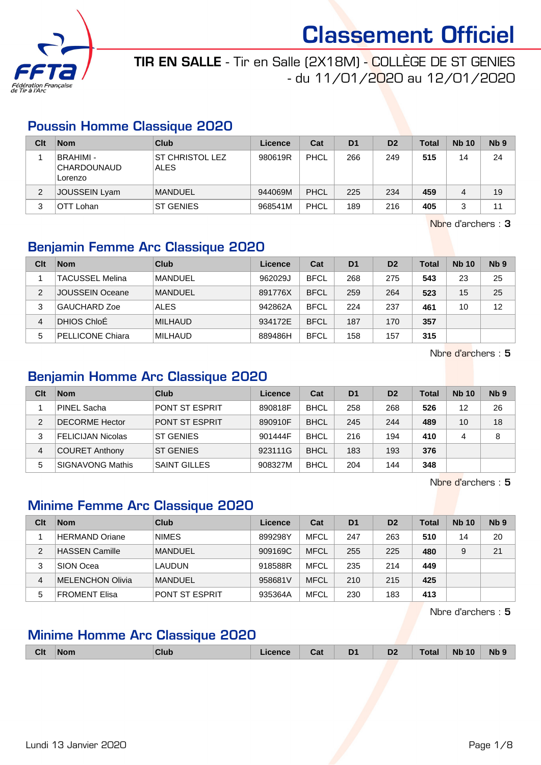

### TIR EN SALLE - Tir en Salle (2X18M) - COLLÈGE DE ST GENIES - du 11/01/2020 au 12/01/2020

### Poussin Homme Classique 2020

| Clt | <b>Nom</b>                            | Club                                  | Licence | Cat  | D <sub>1</sub> | D <sub>2</sub> | <b>Total</b> | <b>Nb 10</b> | N <sub>b</sub> <sub>9</sub> |
|-----|---------------------------------------|---------------------------------------|---------|------|----------------|----------------|--------------|--------------|-----------------------------|
|     | BRAHIMI -<br> CHARDOUNAUD <br>Lorenzo | <b>ST CHRISTOL LEZ</b><br><b>ALES</b> | 980619R | PHCL | 266            | 249            | 515          | 14           | 24                          |
| 2   | <b>JOUSSEIN Lyam</b>                  | <b>MANDUEL</b>                        | 944069M | PHCL | 225            | 234            | 459          |              | 19                          |
| 3   | OTT Lohan                             | <b>ST GENIES</b>                      | 968541M | PHCL | 189            | 216            | 405          |              | 11                          |

Nbre d'archers : 3

### Benjamin Femme Arc Classique 2020

| Clt | <b>Nom</b>             | Club           | <b>Licence</b> | Cat         | D <sub>1</sub> | D <sub>2</sub> | <b>Total</b> | <b>Nb 10</b> | N <sub>b</sub> <sub>9</sub> |
|-----|------------------------|----------------|----------------|-------------|----------------|----------------|--------------|--------------|-----------------------------|
|     | <b>TACUSSEL Melina</b> | <b>MANDUEL</b> | 962029J        | <b>BFCL</b> | 268            | 275            | 543          | 23           | 25                          |
| 2   | JOUSSEIN Oceane        | <b>MANDUEL</b> | 891776X        | <b>BFCL</b> | 259            | 264            | 523          | 15           | 25                          |
| 3   | GAUCHARD Zoe           | <b>ALES</b>    | 942862A        | <b>BFCL</b> | 224            | 237            | 461          | 10           | 12                          |
| 4   | DHIOS ChloE            | <b>MILHAUD</b> | 934172E        | <b>BFCL</b> | 187            | 170            | 357          |              |                             |
| 5   | PELLICONE Chiara       | MILHAUD        | 889486H        | <b>BFCL</b> | 158            | 157            | 315          |              |                             |

Nbre d'archers : 5

### Benjamin Homme Arc Classique 2020

| Clt | <b>Nom</b>               | Club                | Licence | Cat         | D <sub>1</sub> | D <sub>2</sub> | <b>Total</b> | <b>Nb 10</b> | N <sub>b</sub> <sub>9</sub> |
|-----|--------------------------|---------------------|---------|-------------|----------------|----------------|--------------|--------------|-----------------------------|
|     | PINEL Sacha              | PONT ST ESPRIT      | 890818F | <b>BHCL</b> | 258            | 268            | 526          | 12           | 26                          |
| 2   | DECORME Hector           | PONT ST ESPRIT      | 890910F | <b>BHCL</b> | 245            | 244            | 489          | 10           | 18                          |
| 3   | <b>FELICIJAN Nicolas</b> | <b>ST GENIES</b>    | 901444F | <b>BHCL</b> | 216            | 194            | 410          | 4            | 8                           |
| 4   | COURET Anthony           | <b>ST GENIES</b>    | 923111G | <b>BHCL</b> | 183            | 193            | 376          |              |                             |
| 5   | SIGNAVONG Mathis         | <b>SAINT GILLES</b> | 908327M | <b>BHCL</b> | 204            | 144            | 348          |              |                             |

Nbre d'archers : 5

### Minime Femme Arc Classique 2020

| Clt | <b>Nom</b>       | Club           | <b>Licence</b> | Cat         | D <sub>1</sub> | D <sub>2</sub> | Total | <b>Nb 10</b> | N <sub>b</sub> <sub>9</sub> |
|-----|------------------|----------------|----------------|-------------|----------------|----------------|-------|--------------|-----------------------------|
|     | HERMAND Oriane   | <b>NIMES</b>   | 899298Y        | MFCL        | 247            | 263            | 510   | 14           | 20                          |
| 2   | HASSEN Camille   | <b>MANDUEL</b> | 909169C        | <b>MFCL</b> | 255            | 225            | 480   | 9            | 21                          |
| 3   | SION Ocea        | <b>LAUDUN</b>  | 918588R        | MFCL        | 235            | 214            | 449   |              |                             |
| 4   | MELENCHON Olivia | <b>MANDUEL</b> | 958681V        | <b>MFCL</b> | 210            | 215            | 425   |              |                             |
| 5   | FROMENT Elisa    | PONT ST ESPRIT | 935364A        | MFCL        | 230            | 183            | 413   |              |                             |

Nbre d'archers : 5

### Minime Homme Arc Classique 2020

| <b>Clt</b> | Nom | Club | Licence | Cat | D <sub>1</sub> | D <sub>2</sub> | <b>Total</b> | <b>Nb 10</b> | <b>Nb</b> |
|------------|-----|------|---------|-----|----------------|----------------|--------------|--------------|-----------|
|            |     |      |         |     |                |                |              |              |           |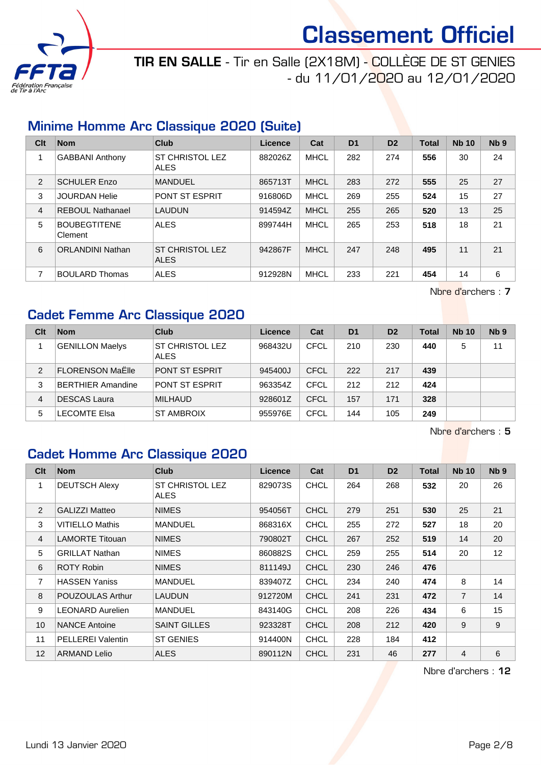

# TIR EN SALLE - Tir en Salle (2X18M) - COLLÈGE DE ST GENIES - du 11/01/2020 au 12/01/2020

### Minime Homme Arc Classique 2020 (Suite)

| Clt | <b>Nom</b>                     | Club                                  | Licence | Cat         | D <sub>1</sub> | D <sub>2</sub> | <b>Total</b> | <b>Nb 10</b> | Nb <sub>9</sub> |
|-----|--------------------------------|---------------------------------------|---------|-------------|----------------|----------------|--------------|--------------|-----------------|
|     | <b>GABBANI Anthony</b>         | <b>ST CHRISTOL LEZ</b><br><b>ALES</b> | 882026Z | <b>MHCL</b> | 282            | 274            | 556          | 30           | 24              |
| 2   | <b>SCHULER Enzo</b>            | <b>MANDUEL</b>                        | 865713T | <b>MHCL</b> | 283            | 272            | 555          | 25           | 27              |
| 3   | <b>JOURDAN Helie</b>           | <b>PONT ST ESPRIT</b>                 | 916806D | <b>MHCL</b> | 269            | 255            | 524          | 15           | 27              |
| 4   | REBOUL Nathanael               | LAUDUN                                | 914594Z | <b>MHCL</b> | 255            | 265            | 520          | 13           | 25              |
| 5   | <b>BOUBEGTITENE</b><br>Clement | <b>ALES</b>                           | 899744H | <b>MHCL</b> | 265            | 253            | 518          | 18           | 21              |
| 6   | <b>ORLANDINI Nathan</b>        | <b>ST CHRISTOL LEZ</b><br><b>ALES</b> | 942867F | <b>MHCL</b> | 247            | 248            | 495          | 11           | 21              |
| 7   | <b>BOULARD Thomas</b>          | <b>ALES</b>                           | 912928N | <b>MHCL</b> | 233            | 221            | 454          | 14           | 6               |

Nbre d'archers : 7

### Cadet Femme Arc Classique 2020

| Clt           | <b>Nom</b>               | Club                                  | Licence | Cat         | D <sub>1</sub> | D <sub>2</sub> | <b>Total</b> | <b>Nb 10</b> | Nb <sub>9</sub> |
|---------------|--------------------------|---------------------------------------|---------|-------------|----------------|----------------|--------------|--------------|-----------------|
|               | <b>GENILLON Maelys</b>   | <b>ST CHRISTOL LEZ</b><br><b>ALES</b> | 968432U | CFCL        | 210            | 230            | 440          | 5            | 11              |
| $\mathcal{P}$ | <b>FLORENSON MaElle</b>  | <b>PONT ST ESPRIT</b>                 | 945400J | CFCL        | 222            | 217            | 439          |              |                 |
| 3             | <b>BERTHIER Amandine</b> | <b>PONT ST ESPRIT</b>                 | 963354Z | CFCL        | 212            | 212            | 424          |              |                 |
| 4             | <b>DESCAS Laura</b>      | <b>MILHAUD</b>                        | 928601Z | <b>CFCL</b> | 157            | 171            | 328          |              |                 |
| 5             | <b>LECOMTE Elsa</b>      | <b>ST AMBROIX</b>                     | 955976E | <b>CFCL</b> | 144            | 105            | 249          |              |                 |

Nbre d'archers : 5

### Cadet Homme Arc Classique 2020

| Clt            | <b>Nom</b>               | Club                                  | <b>Licence</b> | Cat         | D <sub>1</sub> | D <sub>2</sub> | <b>Total</b> | <b>Nb 10</b>   | N <sub>b</sub> <sub>9</sub> |
|----------------|--------------------------|---------------------------------------|----------------|-------------|----------------|----------------|--------------|----------------|-----------------------------|
| 1              | <b>DEUTSCH Alexy</b>     | <b>ST CHRISTOL LEZ</b><br><b>ALES</b> | 829073S        | <b>CHCL</b> | 264            | 268            | 532          | 20             | 26                          |
| 2              | <b>GALIZZI Matteo</b>    | <b>NIMES</b>                          | 954056T        | <b>CHCL</b> | 279            | 251            | 530          | 25             | 21                          |
| 3              | <b>VITIELLO Mathis</b>   | <b>MANDUEL</b>                        | 868316X        | <b>CHCL</b> | 255            | 272            | 527          | 18             | 20                          |
| $\overline{4}$ | <b>LAMORTE Titouan</b>   | <b>NIMES</b>                          | 790802T        | <b>CHCL</b> | 267            | 252            | 519          | 14             | 20                          |
| 5              | <b>GRILLAT Nathan</b>    | <b>NIMES</b>                          | 860882S        | <b>CHCL</b> | 259            | 255            | 514          | 20             | 12                          |
| 6              | <b>ROTY Robin</b>        | <b>NIMES</b>                          | 811149J        | <b>CHCL</b> | 230            | 246            | 476          |                |                             |
| 7              | <b>HASSEN Yaniss</b>     | <b>MANDUEL</b>                        | 839407Z        | <b>CHCL</b> | 234            | 240            | 474          | 8              | 14                          |
| 8              | POUZOULAS Arthur         | <b>LAUDUN</b>                         | 912720M        | <b>CHCL</b> | 241            | 231            | 472          | $\overline{7}$ | 14                          |
| 9              | <b>LEONARD Aurelien</b>  | <b>MANDUEL</b>                        | 843140G        | <b>CHCL</b> | 208            | 226            | 434          | 6              | 15                          |
| 10             | <b>NANCE Antoine</b>     | <b>SAINT GILLES</b>                   | 923328T        | <b>CHCL</b> | 208            | 212            | 420          | 9              | 9                           |
| 11             | <b>PELLEREI Valentin</b> | <b>ST GENIES</b>                      | 914400N        | <b>CHCL</b> | 228            | 184            | 412          |                |                             |
| 12             | <b>ARMAND Lelio</b>      | <b>ALES</b>                           | 890112N        | <b>CHCL</b> | 231            | 46             | 277          | 4              | 6                           |

Nbre d'archers : 12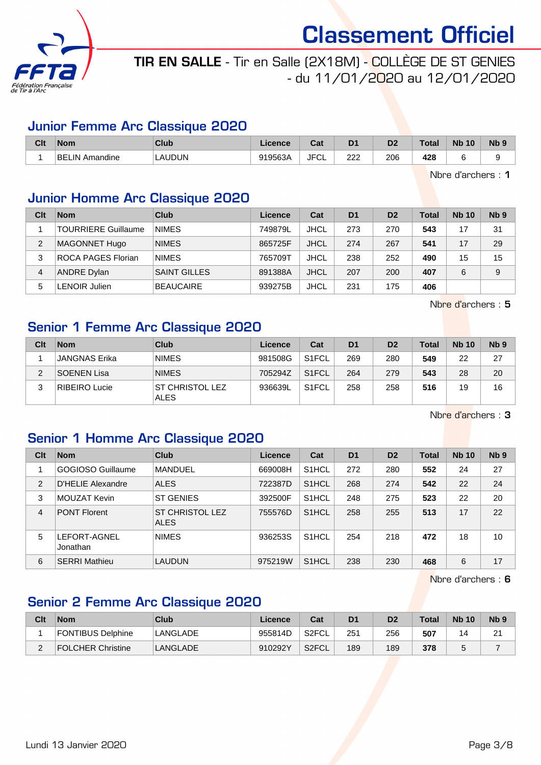

# TIR EN SALLE - Tir en Salle (2X18M) - COLLÈGE DE ST GENIES - du 11/01/2020 au 12/01/2020

### Junior Femme Arc Classique 2020

| Clt | <b>Nom</b>                 | Club          | Licence | ົາປ<br>ua   | D <sub>1</sub> | D <sub>2</sub> | <b>Total</b> | <b>N<sub>b</sub></b><br>10 | <b>N<sub>b</sub></b> |
|-----|----------------------------|---------------|---------|-------------|----------------|----------------|--------------|----------------------------|----------------------|
|     | <b>BEL</b><br>∟IN Amandine | <b>LAUDUN</b> | 919563A | <b>JFCL</b> | מממ<br>∠∠∠     | 206<br>__      | 428<br>__    |                            |                      |

Nbre d'archers : 1

### Junior Homme Arc Classique 2020

| Clt            | <b>Nom</b>                 | Club                | Licence | Cat         | D <sub>1</sub> | D <sub>2</sub> | <b>Total</b> | <b>Nb 10</b> | Nb <sub>9</sub> |
|----------------|----------------------------|---------------------|---------|-------------|----------------|----------------|--------------|--------------|-----------------|
|                | <b>TOURRIERE Guillaume</b> | <b>NIMES</b>        | 749879L | <b>JHCL</b> | 273            | 270            | 543          | 17           | 31              |
| $\overline{2}$ | <b>MAGONNET Hugo</b>       | <b>NIMES</b>        | 865725F | <b>JHCL</b> | 274            | 267            | 541          | 17           | 29              |
| 3              | <b>ROCA PAGES Florian</b>  | <b>NIMES</b>        | 765709T | <b>JHCL</b> | 238            | 252            | 490          | 15           | 15              |
| 4              | <b>ANDRE Dylan</b>         | <b>SAINT GILLES</b> | 891388A | <b>JHCL</b> | 207            | 200            | 407          | 6            | 9               |
| 5              | <b>LENOIR Julien</b>       | <b>BEAUCAIRE</b>    | 939275B | <b>JHCL</b> | 231            | 175            | 406          |              |                 |

Nbre d'archers : 5

### Senior 1 Femme Arc Classique 2020

| Clt | <b>Nom</b>           | Club                                  | Licence | Cat                | D <sub>1</sub> | D <sub>2</sub> | <b>Total</b> | <b>Nb 10</b> | N <sub>b</sub> <sub>9</sub> |
|-----|----------------------|---------------------------------------|---------|--------------------|----------------|----------------|--------------|--------------|-----------------------------|
|     | <b>JANGNAS Erika</b> | <b>NIMES</b>                          | 981508G | S <sub>1</sub> FCL | 269            | 280            | 549          | 22           | 27                          |
| ◠   | <b>SOENEN Lisa</b>   | <b>NIMES</b>                          | 705294Z | S <sub>1</sub> FCL | 264            | 279            | 543          | 28           | 20                          |
| ົ   | RIBEIRO Lucie        | <b>ST CHRISTOL LEZ</b><br><b>ALES</b> | 936639L | S <sub>1</sub> FCL | 258            | 258            | 516          | 19           | 16                          |

Nbre d'archers : 3

### Senior 1 Homme Arc Classique 2020

| Clt            | <b>Nom</b>               | Club                                  | Licence | Cat                | D <sub>1</sub> | D <sub>2</sub> | <b>Total</b> | <b>Nb 10</b> | N <sub>b</sub> <sub>9</sub> |
|----------------|--------------------------|---------------------------------------|---------|--------------------|----------------|----------------|--------------|--------------|-----------------------------|
|                | GOGIOSO Guillaume        | <b>MANDUEL</b>                        | 669008H | S <sub>1</sub> HCL | 272            | 280            | 552          | 24           | 27                          |
| $\overline{2}$ | D'HELIE Alexandre        | <b>ALES</b>                           | 722387D | S <sub>1</sub> HCL | 268            | 274            | 542          | 22           | 24                          |
| 3              | MOUZAT Kevin             | <b>ST GENIES</b>                      | 392500F | S <sub>1</sub> HCL | 248            | 275            | 523          | 22           | 20                          |
| $\overline{4}$ | <b>PONT Florent</b>      | <b>ST CHRISTOL LEZ</b><br><b>ALES</b> | 755576D | S <sub>1</sub> HCL | 258            | 255            | 513          | 17           | 22                          |
| 5              | LEFORT-AGNEL<br>Jonathan | <b>NIMES</b>                          | 936253S | S <sub>1</sub> HCL | 254            | 218            | 472          | 18           | 10                          |
| 6              | <b>SERRI Mathieu</b>     | <b>LAUDUN</b>                         | 975219W | S <sub>1</sub> HCL | 238            | 230            | 468          | 6            | 17                          |

Nbre d'archers : 6

### Senior 2 Femme Arc Classique 2020

| Clt | <b>Nom</b>        | Club     | Licence | Cat                | D <sub>1</sub> | D2  | Total | <b>Nb 10</b> | N <sub>b</sub> <sub>9</sub> |
|-----|-------------------|----------|---------|--------------------|----------------|-----|-------|--------------|-----------------------------|
|     | FONTIBUS Delphine | LANGLADE | 955814D | S2FCL              | 251            | 256 | 507   |              | 21                          |
|     | FOLCHER Christine | LANGLADE | 910292Y | S <sub>2</sub> FCL | 189            | 189 | 378   |              |                             |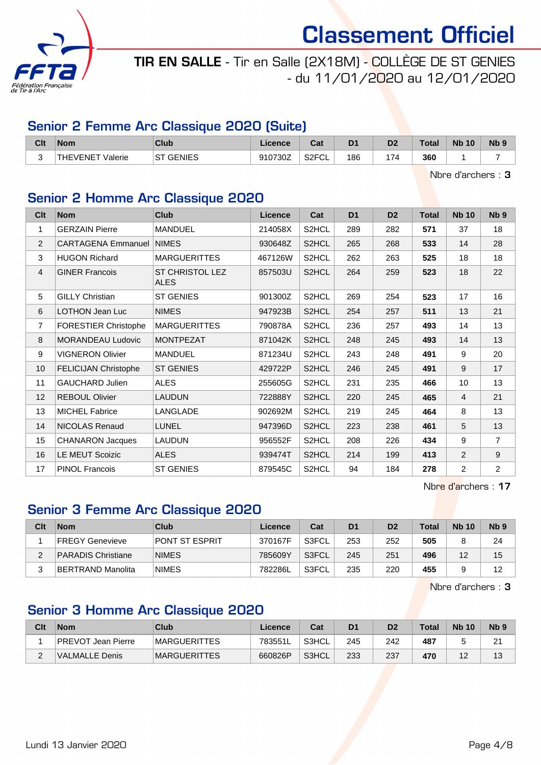

# TIR EN SALLE - Tir en Salle (2X18M) - COLLÈGE DE ST GENIES - du 11/01/2020 au 12/01/2020

### Senior 2 Femme Arc Classique 2020 (Suite)

| Clt | <b>Nom</b>                | Club          | Licence | <b>Dat</b><br>⊍aι        | D <sub>1</sub> | D <sub>2</sub> | Total | <b>N<sub>b</sub></b><br>10 | <b>N<sub>b</sub></b> |
|-----|---------------------------|---------------|---------|--------------------------|----------------|----------------|-------|----------------------------|----------------------|
|     | <b>AFVENET</b><br>Valerie | GENIES<br>⊦S⊤ | 910730Z | S <sub>2</sub> FCI<br>◡∟ | 186            | 174            | 360   |                            |                      |

Nbre d'archers : 3

### Senior 2 Homme Arc Classique 2020

| Clt | <b>Nom</b>                  | <b>Club</b>                           | Licence | Cat                | D <sub>1</sub> | D <sub>2</sub> | <b>Total</b> | <b>Nb 10</b>    | Nb <sub>9</sub> |
|-----|-----------------------------|---------------------------------------|---------|--------------------|----------------|----------------|--------------|-----------------|-----------------|
| 1   | <b>GERZAIN Pierre</b>       | <b>MANDUEL</b>                        | 214058X | S <sub>2</sub> HCL | 289            | 282            | 571          | 37              | 18              |
| 2   | <b>CARTAGENA Emmanuel</b>   | <b>NIMES</b>                          | 930648Z | S2HCL              | 265            | 268            | 533          | 14              | 28              |
| 3   | <b>HUGON Richard</b>        | <b>MARGUERITTES</b>                   | 467126W | S2HCL              | 262            | 263            | 525          | 18              | 18              |
| 4   | <b>GINER Francois</b>       | <b>ST CHRISTOL LEZ</b><br><b>ALES</b> | 857503U | S2HCL              | 264            | 259            | 523          | 18              | 22              |
| 5   | <b>GILLY Christian</b>      | <b>ST GENIES</b>                      | 901300Z | S2HCL              | 269            | 254            | 523          | 17              | 16              |
| 6   | LOTHON Jean Luc             | <b>NIMES</b>                          | 947923B | S2HCL              | 254            | 257            | 511          | 13              | 21              |
| 7   | <b>FORESTIER Christophe</b> | <b>MARGUERITTES</b>                   | 790878A | S2HCL              | 236            | 257            | 493          | 14              | 13              |
| 8   | <b>MORANDEAU Ludovic</b>    | <b>MONTPEZAT</b>                      | 871042K | S2HCL              | 248            | 245            | 493          | 14              | 13              |
| 9   | <b>VIGNERON Olivier</b>     | <b>MANDUEL</b>                        | 871234U | S2HCL              | 243            | 248            | 491          | 9               | 20              |
| 10  | <b>FELICIJAN Christophe</b> | <b>ST GENIES</b>                      | 429722P | S2HCL              | 246            | 245            | 491          | 9               | 17              |
| 11  | <b>GAUCHARD Julien</b>      | <b>ALES</b>                           | 255605G | S2HCL              | 231            | 235            | 466          | 10 <sup>1</sup> | 13              |
| 12  | <b>REBOUL Olivier</b>       | <b>LAUDUN</b>                         | 722888Y | S2HCL              | 220            | 245            | 465          | $\overline{4}$  | 21              |
| 13  | <b>MICHEL Fabrice</b>       | LANGLADE                              | 902692M | S2HCL              | 219            | 245            | 464          | 8               | 13              |
| 14  | <b>NICOLAS Renaud</b>       | <b>LUNEL</b>                          | 947396D | S2HCL              | 223            | 238            | 461          | 5               | 13              |
| 15  | <b>CHANARON Jacques</b>     | <b>LAUDUN</b>                         | 956552F | S2HCL              | 208            | 226            | 434          | 9               | $\overline{7}$  |
| 16  | <b>LE MEUT Scoizic</b>      | <b>ALES</b>                           | 939474T | S2HCL              | 214            | 199            | 413          | $\overline{2}$  | 9               |
| 17  | <b>PINOL Francois</b>       | <b>ST GENIES</b>                      | 879545C | S2HCL              | 94             | 184            | 278          | $\overline{2}$  | $\overline{2}$  |

Nbre d'archers : 17

### Senior 3 Femme Arc Classique 2020

| Clt | <b>Nom</b>                | Club           | Licence | Cat   | D <sub>1</sub> | D <sub>2</sub> | Total | <b>Nb 10</b> | N <sub>b</sub> 9 |
|-----|---------------------------|----------------|---------|-------|----------------|----------------|-------|--------------|------------------|
|     | <b>IFREGY Genevieve</b>   | PONT ST ESPRIT | 370167F | S3FCL | 253            | 252            | 505   |              | 24               |
|     | <b>PARADIS Christiane</b> | <b>NIMES</b>   | 785609Y | S3FCL | 245            | 251            | 496   | 12           | 15               |
|     | ∣BERTRAND Manolita        | <b>NIMES</b>   | 782286L | S3FCL | 235            | 220            | 455   |              | 12               |

Nbre d'archers : 3

### Senior 3 Homme Arc Classique 2020

| Clt | <b>Nom</b>                | Club                 | ∟icence | Cat   | D <sub>1</sub> | D2  | Total | <b>Nb 10</b> | N <sub>b</sub> <sub>9</sub> |
|-----|---------------------------|----------------------|---------|-------|----------------|-----|-------|--------------|-----------------------------|
|     | <b>PREVOT Jean Pierre</b> | <b>IMARGUERITTES</b> | 783551L | S3HCL | 245            | 242 | 487   |              | $\Omega$<br><u>.</u>        |
| -   | VALMALLE Denis            | <b>MARGUERITTES</b>  | 660826P | S3HCL | 233            | 237 | 470   | 4 ຕ<br>ட     | 13                          |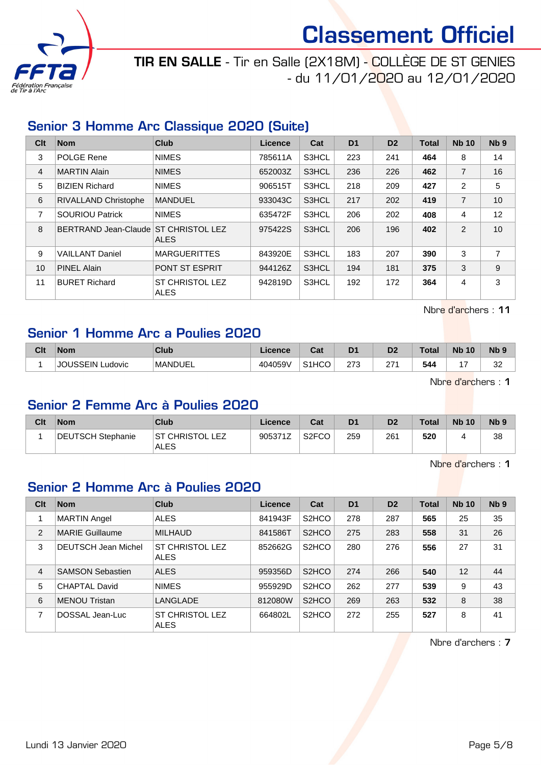

TIR EN SALLE - Tir en Salle (2X18M) - COLLÈGE DE ST GENIES - du 11/01/2020 au 12/01/2020

### Senior 3 Homme Arc Classique 2020 (Suite)

| Clt | <b>Nom</b>                           | <b>Club</b>                           | Licence | Cat   | D <sub>1</sub> | D <sub>2</sub> | <b>Total</b> | <b>Nb 10</b>   | Nb <sub>9</sub> |
|-----|--------------------------------------|---------------------------------------|---------|-------|----------------|----------------|--------------|----------------|-----------------|
| 3   | <b>POLGE Rene</b>                    | <b>NIMES</b>                          | 785611A | S3HCL | 223            | 241            | 464          | 8              | 14              |
| 4   | <b>MARTIN Alain</b>                  | <b>NIMES</b>                          | 652003Z | S3HCL | 236            | 226            | 462          | $\overline{7}$ | 16              |
| 5   | <b>BIZIEN Richard</b>                | <b>NIMES</b>                          | 906515T | S3HCL | 218            | 209            | 427          | $\overline{2}$ | 5               |
| 6   | <b>RIVALLAND Christophe</b>          | <b>MANDUEL</b>                        | 933043C | S3HCL | 217            | 202            | 419          | $\overline{7}$ | 10              |
| 7   | <b>SOURIOU Patrick</b>               | <b>NIMES</b>                          | 635472F | S3HCL | 206            | 202            | 408          | 4              | 12              |
| 8   | BERTRAND Jean-Claude ST CHRISTOL LEZ | <b>ALES</b>                           | 975422S | S3HCL | 206            | 196            | 402          | $\mathcal{P}$  | 10              |
| 9   | <b>VAILLANT Daniel</b>               | <b>MARGUERITTES</b>                   | 843920E | S3HCL | 183            | 207            | 390          | 3              | $\overline{7}$  |
| 10  | <b>PINEL Alain</b>                   | <b>PONT ST ESPRIT</b>                 | 944126Z | S3HCL | 194            | 181            | 375          | 3              | 9               |
| 11  | <b>BURET Richard</b>                 | <b>ST CHRISTOL LEZ</b><br><b>ALES</b> | 942819D | S3HCL | 192            | 172            | 364          | 4              | 3               |

Nbre d'archers : 11

#### Senior 1 Homme Arc a Poulies 2020

| Clt | <b>Nom</b>             | <b>Club</b>    | Licence | r.,<br>⊍aι                     | D <sub>1</sub> | D <sub>2</sub>              | <b>Total</b> | <b>N<sub>b</sub></b><br>10 <sup>°</sup> | $Nb$ ?       |
|-----|------------------------|----------------|---------|--------------------------------|----------------|-----------------------------|--------------|-----------------------------------------|--------------|
|     | .JOUSSEIN ′<br>Ludovic | <b>MANDUEL</b> | 404059V | S <sub>1</sub> H <sub>CO</sub> | רי ה<br>21 J   | 27 <sub>0</sub><br><u>.</u> | 544          |                                         | $\sim$<br>ےں |

Nbre d'archers : 1

#### Senior 2 Femme Arc à Poulies 2020

| Clt | <b>Nom</b>        | Club                                      | <b>Licence</b>        | Cat                | D <sub>1</sub> | D <sub>2</sub> | <b>Total</b> | <b>Nb 10</b> | N <sub>b</sub> <sub>9</sub> |
|-----|-------------------|-------------------------------------------|-----------------------|--------------------|----------------|----------------|--------------|--------------|-----------------------------|
|     | DEUTSCH Stephanie | <b>ST CHRISTOL L</b><br>F7<br><b>ALES</b> | 905371Z<br>$\sqrt{2}$ | S <sub>2</sub> FCO | 259            | 261            | 520          |              | 38                          |

Nbre d'archers : 1

### Senior 2 Homme Arc à Poulies 2020

| Clt            | <b>Nom</b>                 | <b>Club</b>                           | Licence | Cat                            | D <sub>1</sub> | D <sub>2</sub> | <b>Total</b> | <b>Nb 10</b> | Nb <sub>9</sub> |
|----------------|----------------------------|---------------------------------------|---------|--------------------------------|----------------|----------------|--------------|--------------|-----------------|
|                | <b>MARTIN Angel</b>        | <b>ALES</b>                           | 841943F | S <sub>2</sub> HCO             | 278            | 287            | 565          | 25           | 35              |
| $\overline{2}$ | <b>MARIE Guillaume</b>     | <b>MILHAUD</b>                        | 841586T | S <sub>2</sub> HCO             | 275            | 283            | 558          | 31           | 26              |
| 3              | <b>DEUTSCH Jean Michel</b> | <b>ST CHRISTOL LEZ</b><br><b>ALES</b> | 852662G | S <sub>2</sub> H <sub>CO</sub> | 280            | 276            | 556          | 27           | 31              |
| $\overline{4}$ | <b>SAMSON Sebastien</b>    | <b>ALES</b>                           | 959356D | S <sub>2</sub> HCO             | 274            | 266            | 540          | 12           | 44              |
| 5              | <b>CHAPTAL David</b>       | <b>NIMES</b>                          | 955929D | S <sub>2</sub> HCO             | 262            | 277            | 539          | 9            | 43              |
| 6              | <b>MENOU Tristan</b>       | LANGLADE                              | 812080W | S <sub>2</sub> HCO             | 269            | 263            | 532          | 8            | 38              |
| 7              | DOSSAL Jean-Luc            | <b>ST CHRISTOL LEZ</b><br>ALES        | 664802L | S <sub>2</sub> HCO             | 272            | 255            | 527          | 8            | 41              |

Nbre d'archers : 7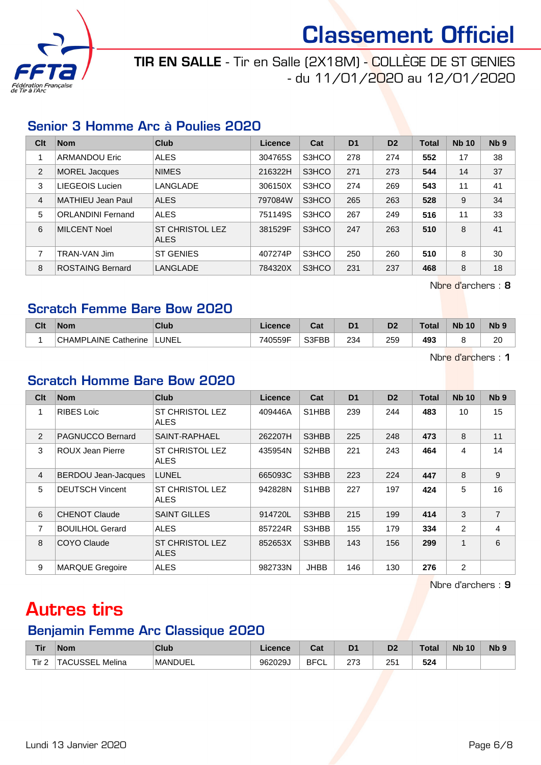

# TIR EN SALLE - Tir en Salle (2X18M) - COLLÈGE DE ST GENIES - du 11/01/2020 au 12/01/2020

### Senior 3 Homme Arc à Poulies 2020

| Clt | <b>Nom</b>               | Club                                  | Licence | Cat   | D <sub>1</sub> | D <sub>2</sub> | <b>Total</b> | <b>Nb 10</b> | Nb <sub>9</sub> |
|-----|--------------------------|---------------------------------------|---------|-------|----------------|----------------|--------------|--------------|-----------------|
|     | <b>ARMANDOU Eric</b>     | <b>ALES</b>                           | 304765S | S3HCO | 278            | 274            | 552          | 17           | 38              |
| 2   | <b>MOREL Jacques</b>     | <b>NIMES</b>                          | 216322H | S3HCO | 271            | 273            | 544          | 14           | 37              |
| 3   | LIEGEOIS Lucien          | LANGLADE                              | 306150X | S3HCO | 274            | 269            | 543          | 11           | 41              |
| 4   | MATHIEU Jean Paul        | <b>ALES</b>                           | 797084W | S3HCO | 265            | 263            | 528          | 9            | 34              |
| 5   | <b>ORLANDINI Fernand</b> | <b>ALES</b>                           | 751149S | S3HCO | 267            | 249            | 516          | 11           | 33              |
| 6   | <b>MILCENT Noel</b>      | <b>ST CHRISTOL LEZ</b><br><b>ALES</b> | 381529F | S3HCO | 247            | 263            | 510          | 8            | 41              |
| 7   | TRAN-VAN Jim             | <b>ST GENIES</b>                      | 407274P | S3HCO | 250            | 260            | 510          | 8            | 30              |
| 8   | <b>ROSTAING Bernard</b>  | LANGLADE                              | 784320X | S3HCO | 231            | 237            | 468          | 8            | 18              |

Nbre d'archers : 8

### Scratch Femme Bare Bow 2020

| Clt | <b>Nom</b>                  | Club         | Licence | ີາ<br>uai | D <sub>1</sub> | D <sub>2</sub> | Total | <b>Nb</b><br>10 | <b>Nb</b> |
|-----|-----------------------------|--------------|---------|-----------|----------------|----------------|-------|-----------------|-----------|
|     | AINE<br>CHAMPL<br>Catherine | <b>LUNEL</b> | 740559F | S3FBB     | 234            | 259            | 493   |                 | ാറ<br>∠⊾  |

Nbre d'archers : 1

#### Scratch Homme Bare Bow 2020

| Clt            | <b>Nom</b>              | <b>Club</b>                           | <b>Licence</b> | Cat                             | D <sub>1</sub> | D <sub>2</sub> | <b>Total</b> | <b>Nb 10</b> | N <sub>b</sub> <sub>9</sub> |
|----------------|-------------------------|---------------------------------------|----------------|---------------------------------|----------------|----------------|--------------|--------------|-----------------------------|
| 1              | <b>RIBES Loic</b>       | <b>ST CHRISTOL LEZ</b><br><b>ALES</b> | 409446A        | S <sub>1</sub> H <sub>B</sub> B | 239            | 244            | 483          | 10           | 15                          |
| 2              | PAGNUCCO Bernard        | SAINT-RAPHAEL                         | 262207H        | S3HBB                           | 225            | 248            | 473          | 8            | 11                          |
| 3              | <b>ROUX Jean Pierre</b> | <b>ST CHRISTOL LEZ</b><br>ALES        | 435954N        | S2HBB                           | 221            | 243            | 464          | 4            | 14                          |
| $\overline{4}$ | BERDOU Jean-Jacques     | <b>LUNEL</b>                          | 665093C        | S3HBB                           | 223            | 224            | 447          | 8            | 9                           |
| 5              | <b>DEUTSCH Vincent</b>  | <b>ST CHRISTOL LEZ</b><br>ALES        | 942828N        | S <sub>1</sub> H <sub>B</sub> B | 227            | 197            | 424          | 5            | 16                          |
| 6              | <b>CHENOT Claude</b>    | <b>SAINT GILLES</b>                   | 914720L        | S3HBB                           | 215            | 199            | 414          | 3            | $\overline{7}$              |
| 7              | <b>BOUILHOL Gerard</b>  | <b>ALES</b>                           | 857224R        | S3HBB                           | 155            | 179            | 334          | 2            | 4                           |
| 8              | COYO Claude             | <b>ST CHRISTOL LEZ</b><br><b>ALES</b> | 852653X        | S3HBB                           | 143            | 156            | 299          | 1            | 6                           |
| 9              | <b>MARQUE Gregoire</b>  | <b>ALES</b>                           | 982733N        | <b>JHBB</b>                     | 146            | 130            | 276          | 2            |                             |

Nbre d'archers : 9

# Autres tirs

#### Benjamin Femme Arc Classique 2020

| <b>Tir</b>      | Nom             | <b>Club</b>    | cence   | $\sim$<br>ual     | D1<br>ν     | n,<br>D7    | Total      | <b>N<sub>b</sub></b><br>10 | Nb <sub>9</sub> |
|-----------------|-----------------|----------------|---------|-------------------|-------------|-------------|------------|----------------------------|-----------------|
| Tir<br><u>_</u> | Melina<br>155EL | <b>MANDUEL</b> | 962029J | <b>BFCI</b><br>◡∟ | 272<br>ں ہے | つに<br>ا ت ک | ドウオ<br>JZ4 |                            |                 |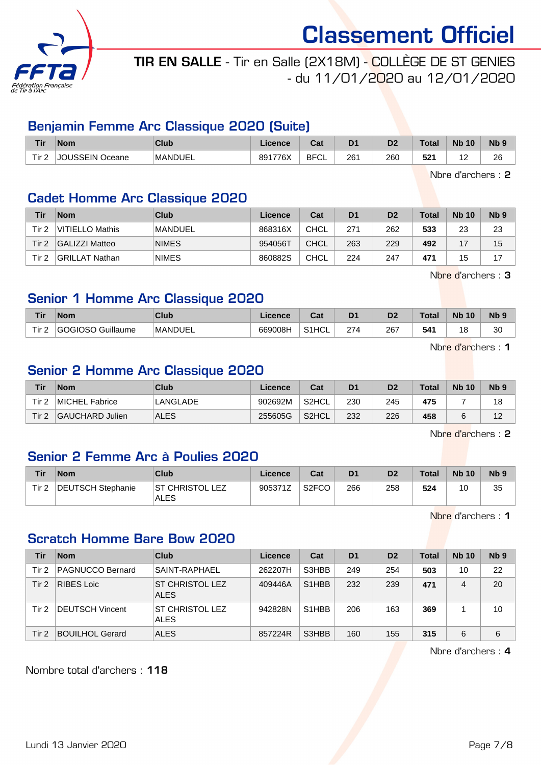

### TIR EN SALLE - Tir en Salle (2X18M) - COLLÈGE DE ST GENIES - du 11/01/2020 au 12/01/2020

#### Benjamin Femme Arc Classique 2020 (Suite)

| <b>Tir</b>                       | <b>Nom</b>              | Club           | Licence | <b>Cat</b><br>ua  | D <sub>1</sub> | D <sub>2</sub> | <b>Total</b>    | <b>N<sub>b</sub></b><br>10 | <b>Nb</b>    |
|----------------------------------|-------------------------|----------------|---------|-------------------|----------------|----------------|-----------------|----------------------------|--------------|
| Tir.<br>$\overline{\phantom{a}}$ | USSEIN<br>וחו<br>Oceane | <b>MANDUEL</b> | 891776X | <b>BFCI</b><br>◡∟ | 261<br>$\sim$  | 260            | 504<br>-<br>ЭZ. | . <u>.</u>                 | 26<br>$\sim$ |

Nbre d'archers : 2

### Cadet Homme Arc Classique 2020

| Tir   | <b>Nom</b>       | Club           | Licence | Cat         | D <sub>1</sub> | D <sub>2</sub> | <b>Total</b> | <b>Nb 10</b> | N <sub>b</sub> <sub>9</sub> |
|-------|------------------|----------------|---------|-------------|----------------|----------------|--------------|--------------|-----------------------------|
| Tir 2 | ⊦VITIELLO Mathis | <b>MANDUEL</b> | 868316X | CHCL        | 271            | 262            | 533          | 23           | 23                          |
| Tir 2 | GALIZZI Matteo   | <b>NIMES</b>   | 954056T | CHCL        | 263            | 229            | 492          | ᅠ            | 15                          |
| Tir 2 | GRILLAT Nathan   | <b>NIMES</b>   | 860882S | <b>CHCL</b> | 224            | 247            | 471          | 15           | 17                          |

Nbre d'archers : 3

### Senior 1 Homme Arc Classique 2020

| <b>Tir</b> | <b>Nom</b>                     | Club           | Licence | ∩~'<br>⊍αι         | D <sub>1</sub>         | n-<br>ש | Total | <b>Nb</b><br>10 | N <sub>b</sub> <sub>9</sub> |
|------------|--------------------------------|----------------|---------|--------------------|------------------------|---------|-------|-----------------|-----------------------------|
| Tir.<br>-  | Guillaume<br>GINSN<br>$-1 - 1$ | <b>MANDUEL</b> | 669008h | S <sub>1</sub> HCL | 27 <sub>0</sub><br>214 | 267     | 541   |                 | 30                          |

Nbre d'archers : 1

### Senior 2 Homme Arc Classique 2020

| Tir              | Nom             | Club        | Licence | Cat   | D <sub>1</sub> | D <sub>2</sub> | Total | <b>Nb 10</b> | Nb <sub>5</sub> |
|------------------|-----------------|-------------|---------|-------|----------------|----------------|-------|--------------|-----------------|
| Tir <sub>2</sub> | MICHEL Fabrice  | LANGLADE    | 902692M | S2HCL | 230            | 245            | 475   |              | 18              |
| Tir 2            | GAUCHARD Julien | <b>ALES</b> | 255605G | S2HCL | 232            | 226            | 458   |              |                 |

Nbre d'archers : 2

### Senior 2 Femme Arc à Poulies 2020

| Tir   | <b>Nom</b>               | Club                     | Licence | Cat                | D <sub>1</sub> | D <sub>2</sub> | Total | <b>Nb 10</b> | N <sub>b</sub> <sub>9</sub> |
|-------|--------------------------|--------------------------|---------|--------------------|----------------|----------------|-------|--------------|-----------------------------|
| Tir 2 | <b>DEUTSCH Stephanie</b> | IST CHRISTOL LEZ<br>ALES | 905371Z | S <sub>2</sub> FCO | 266            | 258            | 524   | 10           | 35                          |

Nbre d'archers : 1

### Scratch Homme Bare Bow 2020

| Tir   | <b>Nom</b>              | Club                                  | Licence | Cat                            | D <sub>1</sub> | D <sub>2</sub> | <b>Total</b> | <b>Nb 10</b> | Nb <sub>9</sub> |
|-------|-------------------------|---------------------------------------|---------|--------------------------------|----------------|----------------|--------------|--------------|-----------------|
| Tir 2 | <b>PAGNUCCO Bernard</b> | SAINT-RAPHAEL                         | 262207H | S3HBB                          | 249            | 254            | 503          | 10           | 22              |
| Tir 2 | <b>RIBES Loic</b>       | <b>ST CHRISTOL LEZ</b><br><b>ALES</b> | 409446A | S <sub>1</sub> H <sub>BB</sub> | 232            | 239            | 471          | 4            | 20              |
| Tir 2 | <b>DEUTSCH Vincent</b>  | <b>ST CHRISTOL LEZ</b><br><b>ALES</b> | 942828N | S <sub>1</sub> H <sub>BB</sub> | 206            | 163            | 369          |              | 10              |
| Tir 2 | <b>BOUILHOL Gerard</b>  | <b>ALES</b>                           | 857224R | S3HBB                          | 160            | 155            | 315          | 6            | 6               |

Nbre d'archers : 4

Nombre total d'archers : 118